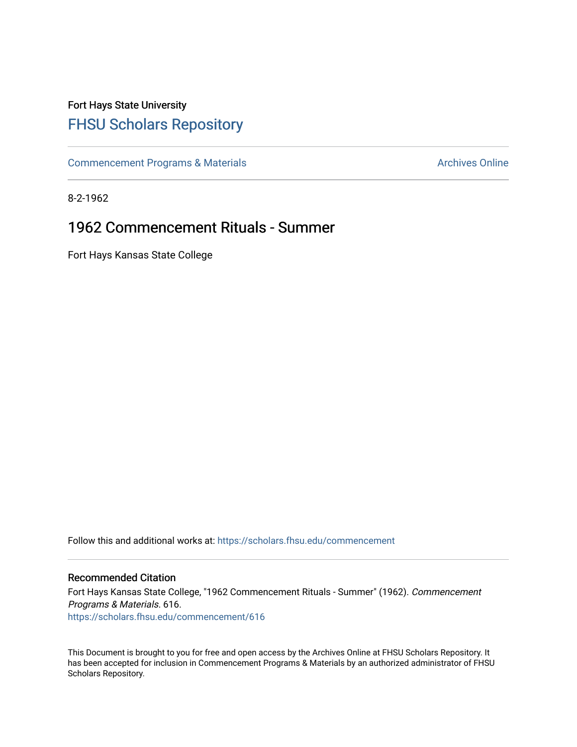# Fort Hays State University [FHSU Scholars Repository](https://scholars.fhsu.edu/)

[Commencement Programs & Materials](https://scholars.fhsu.edu/commencement) **Archives Online** Archives Online

8-2-1962

# 1962 Commencement Rituals - Summer

Fort Hays Kansas State College

Follow this and additional works at: [https://scholars.fhsu.edu/commencement](https://scholars.fhsu.edu/commencement?utm_source=scholars.fhsu.edu%2Fcommencement%2F616&utm_medium=PDF&utm_campaign=PDFCoverPages)

## Recommended Citation

Fort Hays Kansas State College, "1962 Commencement Rituals - Summer" (1962). Commencement Programs & Materials. 616. [https://scholars.fhsu.edu/commencement/616](https://scholars.fhsu.edu/commencement/616?utm_source=scholars.fhsu.edu%2Fcommencement%2F616&utm_medium=PDF&utm_campaign=PDFCoverPages)

This Document is brought to you for free and open access by the Archives Online at FHSU Scholars Repository. It has been accepted for inclusion in Commencement Programs & Materials by an authorized administrator of FHSU Scholars Repository.